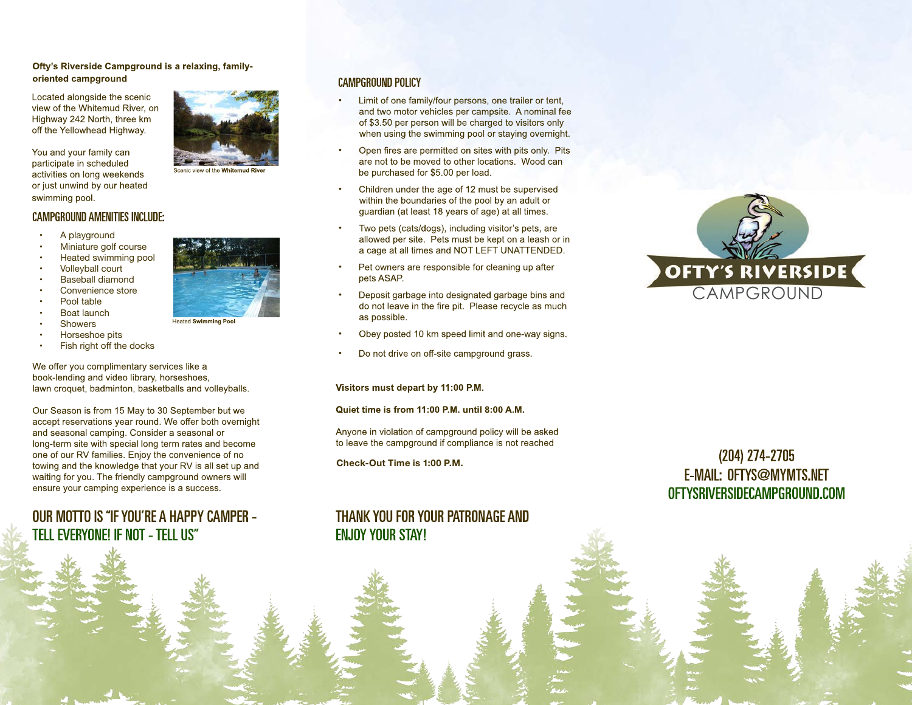### Ofty's Riverside Campground is a relaxing, familyoriented campground

Located alongside the scenic view of the Whitemud River, on Highway 242 North, three km off the Yellowhead Highway.

You and your family can participate in scheduled activities on long weekends or just unwind by our heated swimming pool.

### **CAMPGROUND AMENITIES INCLUDE:**

- A playground
- Miniature golf course
- Heated swimming pool
- Volleyball court
- **Baseball diamond**
- Convenience store
- Pool table
- Boat launch
- **Showers**



Scenic view of the Whitemud Rive

### **CAMPGROUND POLICY**

- Limit of one family/four persons, one trailer or tent, • and two motor vehicles per campsite. A nominal fee of \$3.50 per person will be charged to visitors only when using the swimming pool or staying overnight.
- Open fires are permitted on sites with pits only. Pits • are not to be moved to other locations. Wood can be purchased for \$5.00 per load.
- Children under the age of 12 must be supervised • within the boundaries of the pool by an adult or guardian (at least 18 years of age) at all times.
- Two pets (cats/dogs), including visitor's pets, are allowed per site. Pets must be kept on a leash or in a cage at all times and NOT LEFT UNATTENDED.
- Pet owners are responsible for cleaning up after • pets ASAP.
- Deposit garbage into designated garbage bins and • do not leave in the fire pit. Please recycle as much as possible.
- Obey posted 10 km speed limit and one-way signs. •
- Do not drive on off-site campground grass. •

#### Visitors must depart by 11:00 P.M.

#### Quiet time is from 11:00 P.M. until 8:00 A.M.

Anyone in violation of campground policy will be asked to leave the campground if compliance is not reached

**Check-Out Time is 1:00 P.M.**

# THANK YOU FOR YOUR PATRONAGE AND **FN.IOY YOUR STAY!**



# $(204)$  274-2705 **E-MAIL: OFTYS@MYMTS.NET** OFTYSRIVERSIDECAMPGROUND.COM



leated Swimming Poo

- • Horseshoe pits
- Fish right off the docks

We offer you complimentary services like a book-lending and video library, horseshoes. lawn croquet, badminton, basketballs and volleyballs.

Our Season is from 15 May to 30 September but we accept reservations year round. We offer both overnight and seasonal camping. Consider a seasonal or long-term site with special long term rates and become one of our RV families. Enjoy the convenience of no towing and the knowledge that your RV is all set up and waiting for you. The friendly campground owners will ensure your camping experience is a success.

# OUR MOTTO IS "IF YOU'RE A HAPPY CAMPER -TELL EVERYONE! IF NOT - TELL US"